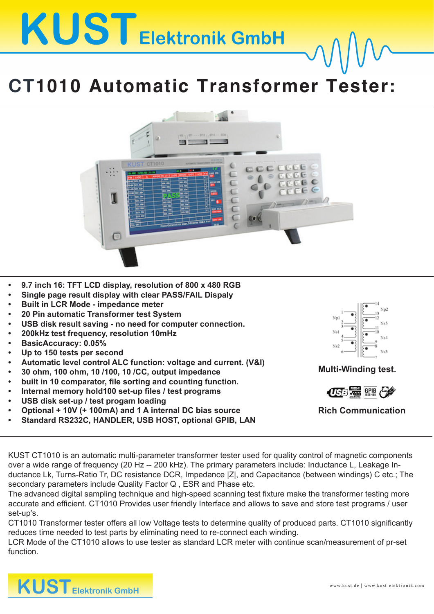## **KUST** Elektronik GmbH

## **CT1010 Automatic Transformer Tester:**



- **• 9.7 inch 16: TFT LCD display, resolution of 800 x 480 RGB**
- **• Single page result display with clear PASS/FAIL Dispaly**
- **• Built in LCR Mode - impedance meter**
- **• 20 Pin automatic Transformer test System**
- **• USB disk result saving - no need for computer connection.**
- **• 200kHz test frequency, resolution 10mHz**
- **• BasicAccuracy: 0.05%**
- **• Up to 150 tests per second**
- **• Automatic level control ALC function: voltage and current. (V&I)**
- **• 30 ohm, 100 ohm, 10 /100, 10 /CC, output impedance**
- **• built in 10 comparator, file sorting and counting function.**
- **• Internal memory hold100 set-up files / test programs**
- **• USB disk set-up / test progam loading**
- **• Optional + 10V (+ 100mA) and 1 A internal DC bias source**
- **• Standard RS232C, HANDLER, USB HOST, optional GPIB, LAN**



**Multi-Winding test.**



**Rich Communication**

KUST CT1010 is an automatic multi-parameter transformer tester used for quality control of magnetic components over a wide range of frequency (20 Hz -- 200 kHz). The primary parameters include: Inductance L, Leakage Inductance Lk, Turns-Ratio Tr, DC resistance DCR, Impedance |Z|, and Capacitance (between windings) C etc.; The secondary parameters include Quality Factor Q , ESR and Phase etc.

The advanced digital sampling technique and high-speed scanning test fixture make the transformer testing more accurate and efficient. CT1010 Provides user friendly Interface and allows to save and store test programs / user set-up's.

CT1010 Transformer tester offers all low Voltage tests to determine quality of produced parts. CT1010 significantly reduces time needed to test parts by eliminating need to re-connect each winding.

LCR Mode of the CT1010 allows to use tester as standard LCR meter with continue scan/measurement of pr-set function.

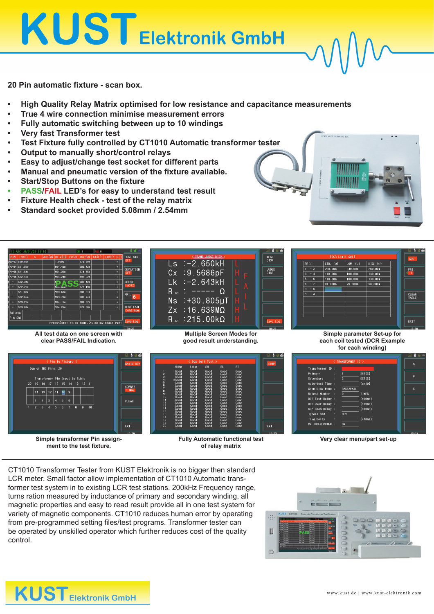KUST Elektronik GmbH

**20 Pin automatic fixture - scan box.**

- **• High Quality Relay Matrix optimised for low resistance and capacitance measurements**
- **• True 4 wire connection minimise measurement errors**
- **• Fully automatic switching between up to 10 windings**
- **• Very fast Transformer test**
- **• Test Fixture fully controlled by CT1010 Automatic transformer tester**
- **• Output to manually short/control relays**
- **• Easy to adjust/change test socket for different parts**
- **• Manual and pneumatic version of the fixture available.**
- **• Start/Stop Buttons on the fixture**
- **• PASS/FAIL LED's for easy to understand test result**
- **• Fixture Health check - test of the relay matrix**
- **• Standard socket provided 5.08mm / 2.54mm**





**Simple transformer Pin assignment to the test fixture.**

**Fully Automatic functional test of relay matrix**

.<br>Ext

**Very clear menu/part set-up**

CT1010 Transformer Tester from KUST Elektronik is no bigger then standard LCR meter. Small factor allow implementation of CT1010 Automatic transformer test system in to existing LCR test stations. 200kHz Frequency range, turns ration measured by inductance of primary and secondary winding, all magnetic properties and easy to read result provide all in one test system for variety of magnetic components. CT1010 reduces human error by operating from pre-programmed setting files/test programs. Transformer tester can be operated by unskilled operator which further reduces cost of the quality control.

EXT